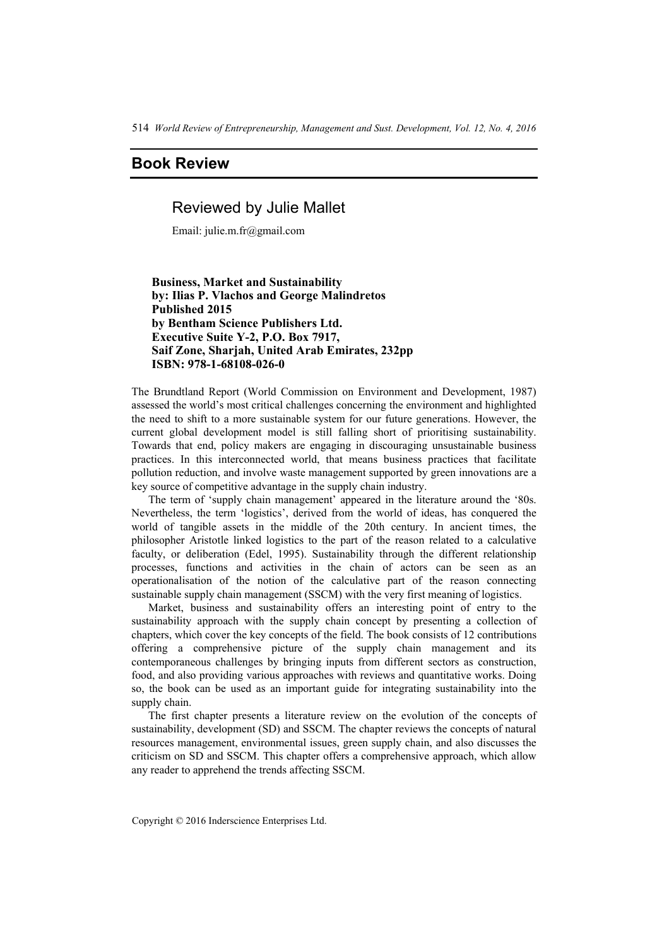514 *World Review of Entrepreneurship, Management and Sust. Development, Vol. 12, No. 4, 2016*

# **Book Review**

# Reviewed by Julie Mallet

Email: julie.m.fr@gmail.com

 **Business, Market and Sustainability by: Ilias P. Vlachos and George Malindretos Published 2015 by Bentham Science Publishers Ltd. Executive Suite Y-2, P.O. Box 7917, Saif Zone, Sharjah, United Arab Emirates, 232pp ISBN: 978-1-68108-026-0** 

The Brundtland Report (World Commission on Environment and Development, 1987) assessed the world's most critical challenges concerning the environment and highlighted the need to shift to a more sustainable system for our future generations. However, the current global development model is still falling short of prioritising sustainability. Towards that end, policy makers are engaging in discouraging unsustainable business practices. In this interconnected world, that means business practices that facilitate pollution reduction, and involve waste management supported by green innovations are a key source of competitive advantage in the supply chain industry.

The term of 'supply chain management' appeared in the literature around the '80s. Nevertheless, the term 'logistics', derived from the world of ideas, has conquered the world of tangible assets in the middle of the 20th century. In ancient times, the philosopher Aristotle linked logistics to the part of the reason related to a calculative faculty, or deliberation (Edel, 1995). Sustainability through the different relationship processes, functions and activities in the chain of actors can be seen as an operationalisation of the notion of the calculative part of the reason connecting sustainable supply chain management (SSCM) with the very first meaning of logistics.

Market, business and sustainability offers an interesting point of entry to the sustainability approach with the supply chain concept by presenting a collection of chapters, which cover the key concepts of the field. The book consists of 12 contributions offering a comprehensive picture of the supply chain management and its contemporaneous challenges by bringing inputs from different sectors as construction, food, and also providing various approaches with reviews and quantitative works. Doing so, the book can be used as an important guide for integrating sustainability into the supply chain.

The first chapter presents a literature review on the evolution of the concepts of sustainability, development (SD) and SSCM. The chapter reviews the concepts of natural resources management, environmental issues, green supply chain, and also discusses the criticism on SD and SSCM. This chapter offers a comprehensive approach, which allow any reader to apprehend the trends affecting SSCM.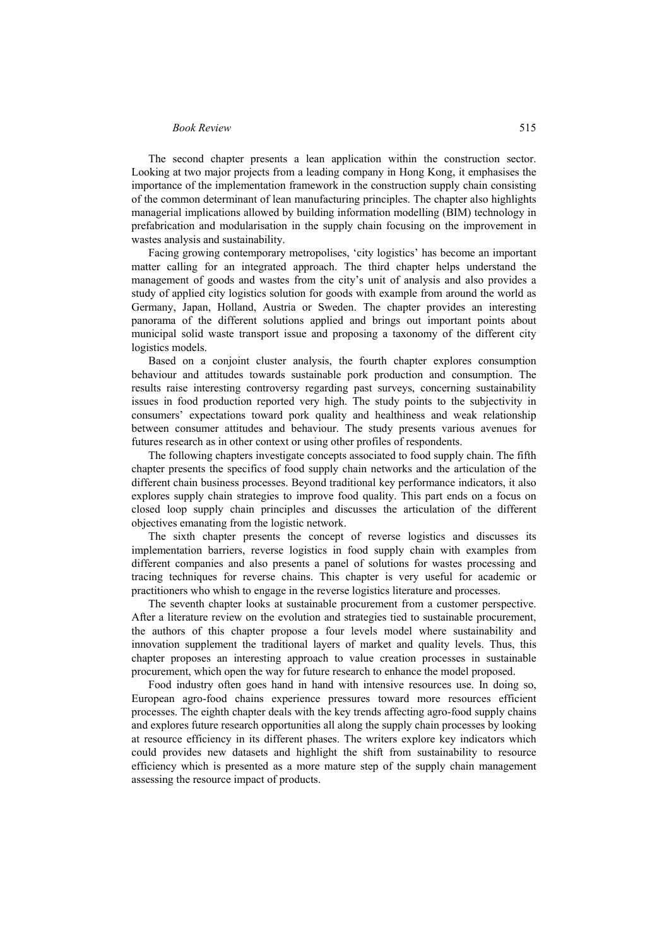### *Book Review* 515

The second chapter presents a lean application within the construction sector. Looking at two major projects from a leading company in Hong Kong, it emphasises the importance of the implementation framework in the construction supply chain consisting of the common determinant of lean manufacturing principles. The chapter also highlights managerial implications allowed by building information modelling (BIM) technology in prefabrication and modularisation in the supply chain focusing on the improvement in wastes analysis and sustainability.

Facing growing contemporary metropolises, 'city logistics' has become an important matter calling for an integrated approach. The third chapter helps understand the management of goods and wastes from the city's unit of analysis and also provides a study of applied city logistics solution for goods with example from around the world as Germany, Japan, Holland, Austria or Sweden. The chapter provides an interesting panorama of the different solutions applied and brings out important points about municipal solid waste transport issue and proposing a taxonomy of the different city logistics models.

Based on a conjoint cluster analysis, the fourth chapter explores consumption behaviour and attitudes towards sustainable pork production and consumption. The results raise interesting controversy regarding past surveys, concerning sustainability issues in food production reported very high. The study points to the subjectivity in consumers' expectations toward pork quality and healthiness and weak relationship between consumer attitudes and behaviour. The study presents various avenues for futures research as in other context or using other profiles of respondents.

The following chapters investigate concepts associated to food supply chain. The fifth chapter presents the specifics of food supply chain networks and the articulation of the different chain business processes. Beyond traditional key performance indicators, it also explores supply chain strategies to improve food quality. This part ends on a focus on closed loop supply chain principles and discusses the articulation of the different objectives emanating from the logistic network.

The sixth chapter presents the concept of reverse logistics and discusses its implementation barriers, reverse logistics in food supply chain with examples from different companies and also presents a panel of solutions for wastes processing and tracing techniques for reverse chains. This chapter is very useful for academic or practitioners who whish to engage in the reverse logistics literature and processes.

The seventh chapter looks at sustainable procurement from a customer perspective. After a literature review on the evolution and strategies tied to sustainable procurement, the authors of this chapter propose a four levels model where sustainability and innovation supplement the traditional layers of market and quality levels. Thus, this chapter proposes an interesting approach to value creation processes in sustainable procurement, which open the way for future research to enhance the model proposed.

Food industry often goes hand in hand with intensive resources use. In doing so, European agro-food chains experience pressures toward more resources efficient processes. The eighth chapter deals with the key trends affecting agro-food supply chains and explores future research opportunities all along the supply chain processes by looking at resource efficiency in its different phases. The writers explore key indicators which could provides new datasets and highlight the shift from sustainability to resource efficiency which is presented as a more mature step of the supply chain management assessing the resource impact of products.